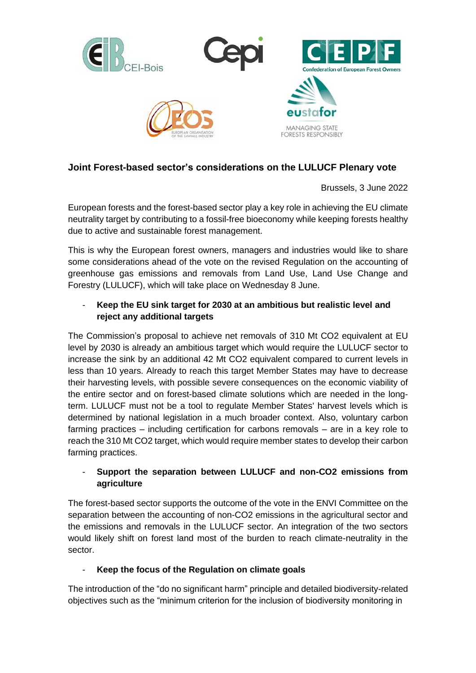

# **Joint Forest-based sector's considerations on the LULUCF Plenary vote**

Brussels, 3 June 2022

European forests and the forest-based sector play a key role in achieving the EU climate neutrality target by contributing to a fossil-free bioeconomy while keeping forests healthy due to active and sustainable forest management.

This is why the European forest owners, managers and industries would like to share some considerations ahead of the vote on the revised Regulation on the accounting of greenhouse gas emissions and removals from Land Use, Land Use Change and Forestry (LULUCF), which will take place on Wednesday 8 June.

## - **Keep the EU sink target for 2030 at an ambitious but realistic level and reject any additional targets**

The Commission's proposal to achieve net removals of 310 Mt CO2 equivalent at EU level by 2030 is already an ambitious target which would require the LULUCF sector to increase the sink by an additional 42 Mt CO2 equivalent compared to current levels in less than 10 years. Already to reach this target Member States may have to decrease their harvesting levels, with possible severe consequences on the economic viability of the entire sector and on forest-based climate solutions which are needed in the longterm. LULUCF must not be a tool to regulate Member States' harvest levels which is determined by national legislation in a much broader context. Also, voluntary carbon farming practices – including certification for carbons removals – are in a key role to reach the 310 Mt CO2 target, which would require member states to develop their carbon farming practices.

### - **Support the separation between LULUCF and non-CO2 emissions from agriculture**

The forest-based sector supports the outcome of the vote in the ENVI Committee on the separation between the accounting of non-CO2 emissions in the agricultural sector and the emissions and removals in the LULUCF sector. An integration of the two sectors would likely shift on forest land most of the burden to reach climate-neutrality in the sector.

### - **Keep the focus of the Regulation on climate goals**

The introduction of the "do no significant harm" principle and detailed biodiversity-related objectives such as the "minimum criterion for the inclusion of biodiversity monitoring in